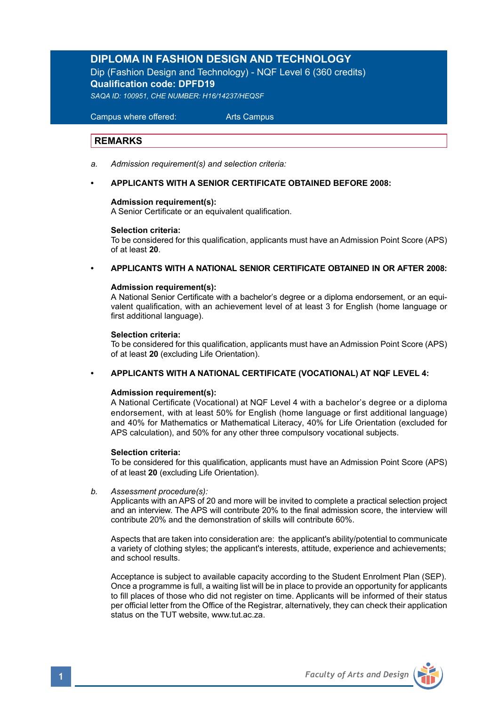# **DIPLOMA IN FASHION DESIGN AND TECHNOLOGY** Dip (Fashion Design and Technology) - NQF Level 6 (360 credits) **Qualification code: DPFD19**

*SAQA ID: 100951, CHE NUMBER: H16/14237/HEQSF*

 Campus where offered: Arts Campus

## **REMARKS**

*a. Admission requirement(s) and selection criteria:*

## **• APPLICANTS WITH A SENIOR CERTIFICATE OBTAINED BEFORE 2008:**

### **Admission requirement(s):**

A Senior Certificate or an equivalent qualification.

### **Selection criteria:**

To be considered for this qualification, applicants must have an Admission Point Score (APS) of at least **20**.

### **• APPLICANTS WITH A NATIONAL SENIOR CERTIFICATE OBTAINED IN OR AFTER 2008:**

### **Admission requirement(s):**

 A National Senior Certificate with a bachelor's degree or a diploma endorsement, or an equi valent qualification, with an achievement level of at least 3 for English (home language or first additional language).

### **Selection criteria:**

To be considered for this qualification, applicants must have an Admission Point Score (APS) of at least **20** (excluding Life Orientation).

### **• APPLICANTS WITH A NATIONAL CERTIFICATE (VOCATIONAL) AT NQF LEVEL 4:**

### **Admission requirement(s):**

A National Certificate (Vocational) at NQF Level 4 with a bachelor's degree or a diploma endorsement, with at least 50% for English (home language or first additional language) and 40% for Mathematics or Mathematical Literacy, 40% for Life Orientation (excluded for APS calculation), and 50% for any other three compulsory vocational subjects.

### **Selection criteria:**

To be considered for this qualification, applicants must have an Admission Point Score (APS) of at least **20** (excluding Life Orientation).

*b. Assessment procedure(s):* 

 Applicants with an APS of 20 and more will be invited to complete a practical selection project and an interview. The APS will contribute 20% to the final admission score, the interview will contribute 20% and the demonstration of skills will contribute 60%.

 Aspects that are taken into consideration are: the applicant's ability/potential to communicate a variety of clothing styles; the applicant's interests, attitude, experience and achievements; and school results.

 Acceptance is subject to available capacity according to the Student Enrolment Plan (SEP). Once a programme is full, a waiting list will be in place to provide an opportunity for applicants to fill places of those who did not register on time. Applicants will be informed of their status per official letter from the Office of the Registrar, alternatively, they can check their application status on the TUT website, www.tut.ac.za.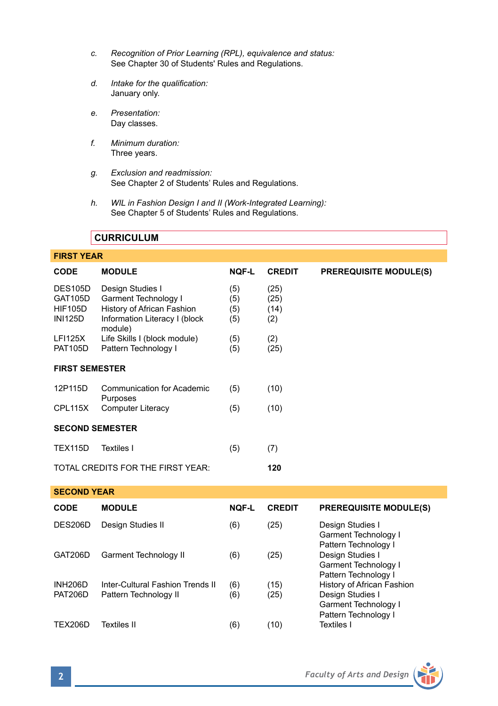- *c. Recognition of Prior Learning (RPL), equivalence and status:* See Chapter 30 of Students' Rules and Regulations.
- *d. Intake for the qualification:* January only.
- *e. Presentation:* Day classes.
- *f. Minimum duration:* Three years.
- *g. Exclusion and readmission:* See Chapter 2 of Students' Rules and Regulations.
- *h. WIL in Fashion Design I and II (Work-Integrated Learning):*  See Chapter 5 of Students' Rules and Regulations.

## **CURRICULUM**

## **FIRST YEAR**

| <b>CODE</b>                                                          | <b>MODULE</b>                                                                                                      | <b>NOF-L</b>             | <b>CREDIT</b>               | <b>PREREQUISITE MODULE(S)</b>                                                                  |  |  |  |
|----------------------------------------------------------------------|--------------------------------------------------------------------------------------------------------------------|--------------------------|-----------------------------|------------------------------------------------------------------------------------------------|--|--|--|
| <b>DES105D</b><br><b>GAT105D</b><br><b>HIF105D</b><br><b>INI125D</b> | Design Studies I<br>Garment Technology I<br>History of African Fashion<br>Information Literacy I (block<br>module) | (5)<br>(5)<br>(5)<br>(5) | (25)<br>(25)<br>(14)<br>(2) |                                                                                                |  |  |  |
| <b>LFI125X</b><br><b>PAT105D</b>                                     | Life Skills I (block module)<br>Pattern Technology I                                                               | (5)<br>(5)               | (2)<br>(25)                 |                                                                                                |  |  |  |
|                                                                      |                                                                                                                    |                          |                             |                                                                                                |  |  |  |
| <b>FIRST SEMESTER</b>                                                |                                                                                                                    |                          |                             |                                                                                                |  |  |  |
| 12P115D                                                              | Communication for Academic<br>Purposes                                                                             | (5)                      | (10)                        |                                                                                                |  |  |  |
| CPL115X                                                              | <b>Computer Literacy</b>                                                                                           | (5)                      | (10)                        |                                                                                                |  |  |  |
| <b>SECOND SEMESTER</b>                                               |                                                                                                                    |                          |                             |                                                                                                |  |  |  |
| <b>TEX115D</b>                                                       | <b>Textiles I</b>                                                                                                  | (5)                      | (7)                         |                                                                                                |  |  |  |
|                                                                      | TOTAL CREDITS FOR THE FIRST YEAR:                                                                                  |                          | 120                         |                                                                                                |  |  |  |
| <b>SECOND YEAR</b>                                                   |                                                                                                                    |                          |                             |                                                                                                |  |  |  |
| CODE                                                                 | <b>MODULE</b>                                                                                                      | NOF-L                    | <b>CREDIT</b>               | <b>PREREQUISITE MODULE(S)</b>                                                                  |  |  |  |
| DES206D                                                              | Design Studies II                                                                                                  | (6)                      | (25)                        | Design Studies I<br>Garment Technology I<br>Pattern Technology I                               |  |  |  |
| GAT206D                                                              | <b>Garment Technology II</b>                                                                                       | (6)                      | (25)                        | Design Studies I<br>Garment Technology I<br>Pattern Technology I                               |  |  |  |
| <b>INH206D</b><br><b>PAT206D</b>                                     | Inter-Cultural Fashion Trends II<br>Pattern Technology II                                                          | (6)<br>(6)               | (15)<br>(25)                | History of African Fashion<br>Design Studies I<br>Garment Technology I<br>Pattern Technology I |  |  |  |

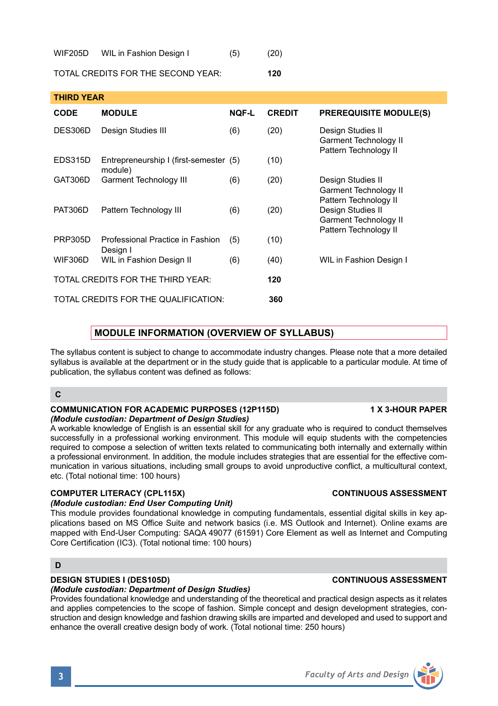### WIF205D WIL in Fashion Design I (5) (20)

TOTAL CREDITS FOR THE SECOND YEAR: **120**

| THIRD YEAR     |                                                   |              |               |                                                                                                                                            |  |  |  |
|----------------|---------------------------------------------------|--------------|---------------|--------------------------------------------------------------------------------------------------------------------------------------------|--|--|--|
| <b>CODE</b>    | <b>MODULE</b>                                     | <b>NOF-L</b> | <b>CREDIT</b> | <b>PREREQUISITE MODULE(S)</b>                                                                                                              |  |  |  |
| DES306D        | Design Studies III                                | (6)          | (20)          | Design Studies II<br>Garment Technology II<br>Pattern Technology II                                                                        |  |  |  |
| EDS315D        | Entrepreneurship I (first-semester (5)<br>module) |              | (10)          |                                                                                                                                            |  |  |  |
| GAT306D        | Garment Technology III                            | (6)          | (20)          | Design Studies II<br>Garment Technology II<br>Pattern Technology II<br>Design Studies II<br>Garment Technology II<br>Pattern Technology II |  |  |  |
| <b>PAT306D</b> | Pattern Technology III                            | (6)          | (20)          |                                                                                                                                            |  |  |  |
| <b>PRP305D</b> | Professional Practice in Fashion<br>Design I      | (5)          | (10)          |                                                                                                                                            |  |  |  |
| <b>WIF306D</b> | WIL in Fashion Design II                          | (6)          | (40)          | WIL in Fashion Design I                                                                                                                    |  |  |  |
|                | TOTAL CREDITS FOR THE THIRD YEAR:                 | 120          |               |                                                                                                                                            |  |  |  |
|                | TOTAL CREDITS FOR THE QUALIFICATION:              | 360          |               |                                                                                                                                            |  |  |  |

# **MODULE INFORMATION (OVERVIEW OF SYLLABUS)**

The syllabus content is subject to change to accommodate industry changes. Please note that a more detailed syllabus is available at the department or in the study guide that is applicable to a particular module. At time of publication, the syllabus content was defined as follows:

## **C**

### **COMMUNICATION FOR ACADEMIC PURPOSES (12P115D) 1 X 3-HOUR PAPER** *(Module custodian: Department of Design Studies)*

A workable knowledge of English is an essential skill for any graduate who is required to conduct themselves successfully in a professional working environment. This module will equip students with the competencies required to compose a selection of written texts related to communicating both internally and externally within a professional environment. In addition, the module includes strategies that are essential for the effective communication in various situations, including small groups to avoid unproductive conflict, a multicultural context, etc. (Total notional time: 100 hours)

## **COMPUTER LITERACY (CPL115X) CONTINUOUS ASSESSMENT**

## *(Module custodian: End User Computing Unit)*

This module provides foundational knowledge in computing fundamentals, essential digital skills in key applications based on MS Office Suite and network basics (i.e. MS Outlook and Internet). Online exams are mapped with End-User Computing: SAQA 49077 (61591) Core Element as well as Internet and Computing Core Certification (IC3). (Total notional time: 100 hours)

## **D**

## **DESIGN STUDIES I (DES105D) CONTINUOUS ASSESSMENT**

## *(Module custodian: Department of Design Studies)*

Provides foundational knowledge and understanding of the theoretical and practical design aspects as it relates and applies competencies to the scope of fashion. Simple concept and design development strategies, construction and design knowledge and fashion drawing skills are imparted and developed and used to support and enhance the overall creative design body of work. (Total notional time: 250 hours)

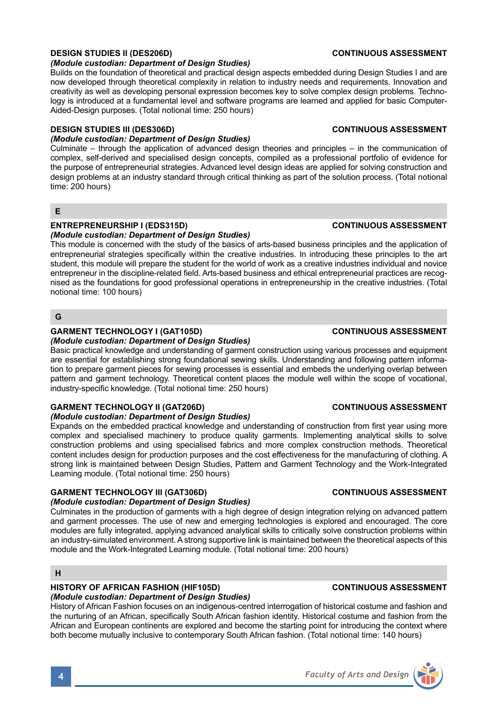## **DESIGN STUDIES II (DES206D) CONTINUOUS ASSESSMENT**

### *(Module custodian: Department of Design Studies)*

Builds on the foundation of theoretical and practical design aspects embedded during Design Studies I and are now developed through theoretical complexity in relation to industry needs and requirements. Innovation and creativity as well as developing personal expression becomes key to solve complex design problems. Technology is introduced at a fundamental level and software programs are learned and applied for basic Computer-Aided-Design purposes. (Total notional time: 250 hours)

### **DESIGN STUDIES III (DES306D) CONTINUOUS ASSESSMENT**

### *(Module custodian: Department of Design Studies)*

Culminate – through the application of advanced design theories and principles – in the communication of complex, self-derived and specialised design concepts, compiled as a professional portfolio of evidence for the purpose of entrepreneurial strategies. Advanced level design ideas are applied for solving construction and design problems at an industry standard through critical thinking as part of the solution process. (Total notional time: 200 hours)

## **E**

# **ENTREPRENEURSHIP I (EDS315D) CONTINUOUS ASSESSMENT**

*(Module custodian: Department of Design Studies)* 

This module is concerned with the study of the basics of arts-based business principles and the application of entrepreneurial strategies specifically within the creative industries. In introducing these principles to the art student, this module will prepare the student for the world of work as a creative industries individual and novice entrepreneur in the discipline-related field. Arts-based business and ethical entrepreneurial practices are recognised as the foundations for good professional operations in entrepreneurship in the creative industries. (Total notional time: 100 hours)

## **G**

## GARMENT TECHNOLOGY I (GAT105D) **CONTINUOUS ASSESSMENT**

*(Module custodian: Department of Design Studies)* 

Basic practical knowledge and understanding of garment construction using various processes and equipment are essential for establishing strong foundational sewing skills. Understanding and following pattern information to prepare garment pieces for sewing processes is essential and embeds the underlying overlap between pattern and garment technology. Theoretical content places the module well within the scope of vocational, industry-specific knowledge. (Total notional time: 250 hours)

### **GARMENT TECHNOLOGY II (GAT206D) CONTINUOUS ASSESSMENT**

## *(Module custodian: Department of Design Studies)*

Expands on the embedded practical knowledge and understanding of construction from first year using more complex and specialised machinery to produce quality garments. Implementing analytical skills to solve construction problems and using specialised fabrics and more complex construction methods. Theoretical content includes design for production purposes and the cost effectiveness for the manufacturing of clothing. A strong link is maintained between Design Studies, Pattern and Garment Technology and the Work-Integrated Learning module. (Total notional time: 250 hours)

### **GARMENT TECHNOLOGY III (GAT306D) CONTINUOUS ASSESSMENT**

### *(Module custodian: Department of Design Studies)*

Culminates in the production of garments with a high degree of design integration relying on advanced pattern and garment processes. The use of new and emerging technologies is explored and encouraged. The core modules are fully integrated, applying advanced analytical skills to critically solve construction problems within an industry-simulated environment. A strong supportive link is maintained between the theoretical aspects of this module and the Work-Integrated Learning module. (Total notional time: 200 hours)

## **H**

### **HISTORY OF AFRICAN FASHION (HIF105D) CONTINUOUS ASSESSMENT** *(Module custodian: Department of Design Studies)*

History of African Fashion focuses on an indigenous-centred interrogation of historical costume and fashion and the nurturing of an African, specifically South African fashion identity. Historical costume and fashion from the African and European continents are explored and become the starting point for introducing the context where both become mutually inclusive to contemporary South African fashion. (Total notional time: 140 hours)



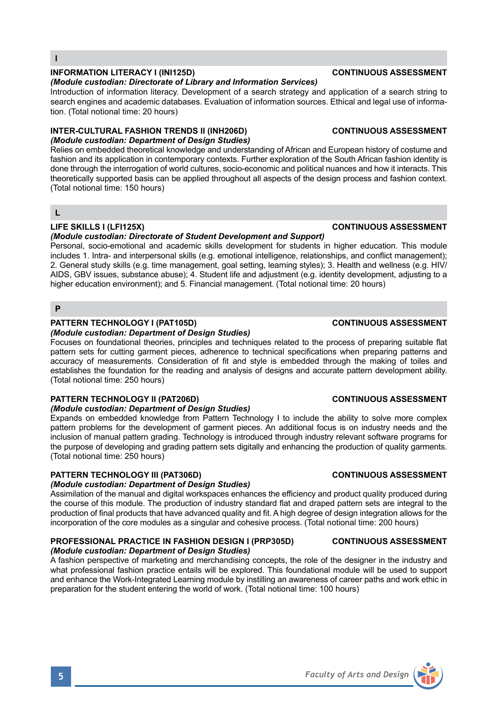## **INFORMATION LITERACY I (INI125D) CONTINUOUS ASSESSMENT**

### *(Module custodian: Directorate of Library and Information Services)*

Introduction of information literacy. Development of a search strategy and application of a search string to search engines and academic databases. Evaluation of information sources. Ethical and legal use of information. (Total notional time: 20 hours)

### **INTER-CULTURAL FASHION TRENDS II (INH206D) CONTINUOUS ASSESSMENT** *(Module custodian: Department of Design Studies)*

Relies on embedded theoretical knowledge and understanding of African and European history of costume and fashion and its application in contemporary contexts. Further exploration of the South African fashion identity is done through the interrogation of world cultures, socio-economic and political nuances and how it interacts. This theoretically supported basis can be applied throughout all aspects of the design process and fashion context. (Total notional time: 150 hours)

**L**

## **LIFE SKILLS I (LFI125X) CONTINUOUS ASSESSMENT**

### *(Module custodian: Directorate of Student Development and Support)*

Personal, socio-emotional and academic skills development for students in higher education. This module includes 1. Intra- and interpersonal skills (e.g. emotional intelligence, relationships, and conflict management); 2. General study skills (e.g. time management, goal setting, learning styles); 3. Health and wellness (e.g. HIV/ AIDS, GBV issues, substance abuse); 4. Student life and adjustment (e.g. identity development, adjusting to a higher education environment); and 5. Financial management. (Total notional time: 20 hours)

### **P**

## **PATTERN TECHNOLOGY I (PAT105D) CONTINUOUS ASSESSMENT**

### *(Module custodian: Department of Design Studies)*

Focuses on foundational theories, principles and techniques related to the process of preparing suitable flat pattern sets for cutting garment pieces, adherence to technical specifications when preparing patterns and accuracy of measurements. Consideration of fit and style is embedded through the making of toiles and establishes the foundation for the reading and analysis of designs and accurate pattern development ability. (Total notional time: 250 hours)

## **PATTERN TECHNOLOGY II (PAT206D)** CONTINUOUS ASSESSMENT

## *(Module custodian: Department of Design Studies)*

Expands on embedded knowledge from Pattern Technology I to include the ability to solve more complex pattern problems for the development of garment pieces. An additional focus is on industry needs and the inclusion of manual pattern grading. Technology is introduced through industry relevant software programs for the purpose of developing and grading pattern sets digitally and enhancing the production of quality garments. (Total notional time: 250 hours)

## **PATTERN TECHNOLOGY III (PAT306D) CONTINUOUS ASSESSMENT**

### *(Module custodian: Department of Design Studies)*

Assimilation of the manual and digital workspaces enhances the efficiency and product quality produced during the course of this module. The production of industry standard flat and draped pattern sets are integral to the production of final products that have advanced quality and fit. A high degree of design integration allows for the incorporation of the core modules as a singular and cohesive process. (Total notional time: 200 hours)

### **PROFESSIONAL PRACTICE IN FASHION DESIGN I (PRP305D) CONTINUOUS ASSESSMENT** *(Module custodian: Department of Design Studies)*

A fashion perspective of marketing and merchandising concepts, the role of the designer in the industry and what professional fashion practice entails will be explored. This foundational module will be used to support and enhance the Work-Integrated Learning module by instilling an awareness of career paths and work ethic in preparation for the student entering the world of work. (Total notional time: 100 hours)